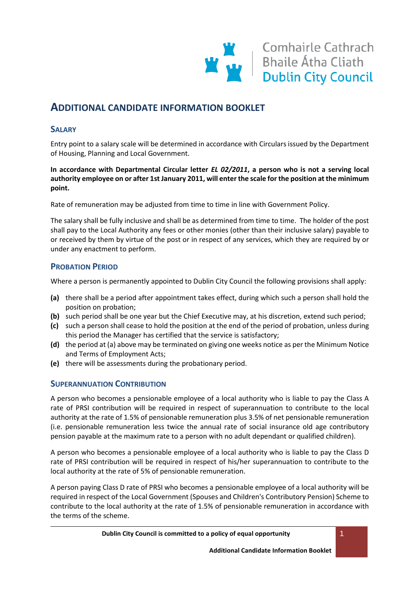# **ADDITIONAL CANDIDATE INFORMATION BOOKLET**

### **SALARY**

Entry point to a salary scale will be determined in accordance with Circulars issued by the Department of Housing, Planning and Local Government.

**In accordance with Departmental Circular letter** *EL 02/2011***, a person who is not a serving local authority employee on or after 1st January 2011, will enter the scale for the position at the minimum point.**

Rate of remuneration may be adjusted from time to time in line with Government Policy.

The salary shall be fully inclusive and shall be as determined from time to time. The holder of the post shall pay to the Local Authority any fees or other monies (other than their inclusive salary) payable to or received by them by virtue of the post or in respect of any services, which they are required by or under any enactment to perform.

### **PROBATION PERIOD**

Where a person is permanently appointed to Dublin City Council the following provisions shall apply:

- **(a)** there shall be a period after appointment takes effect, during which such a person shall hold the position on probation;
- **(b)** such period shall be one year but the Chief Executive may, at his discretion, extend such period;
- **(c)** such a person shall cease to hold the position at the end of the period of probation, unless during this period the Manager has certified that the service is satisfactory;
- **(d)** the period at (a) above may be terminated on giving one weeks notice as per the Minimum Notice and Terms of Employment Acts;
- **(e)** there will be assessments during the probationary period.

# **SUPERANNUATION CONTRIBUTION**

A person who becomes a pensionable employee of a local authority who is liable to pay the Class A rate of PRSI contribution will be required in respect of superannuation to contribute to the local authority at the rate of 1.5% of pensionable remuneration plus 3.5% of net pensionable remuneration (i.e. pensionable remuneration less twice the annual rate of social insurance old age contributory pension payable at the maximum rate to a person with no adult dependant or qualified children).

A person who becomes a pensionable employee of a local authority who is liable to pay the Class D rate of PRSI contribution will be required in respect of his/her superannuation to contribute to the local authority at the rate of 5% of pensionable remuneration.

A person paying Class D rate of PRSI who becomes a pensionable employee of a local authority will be required in respect of the Local Government (Spouses and Children's Contributory Pension) Scheme to contribute to the local authority at the rate of 1.5% of pensionable remuneration in accordance with the terms of the scheme.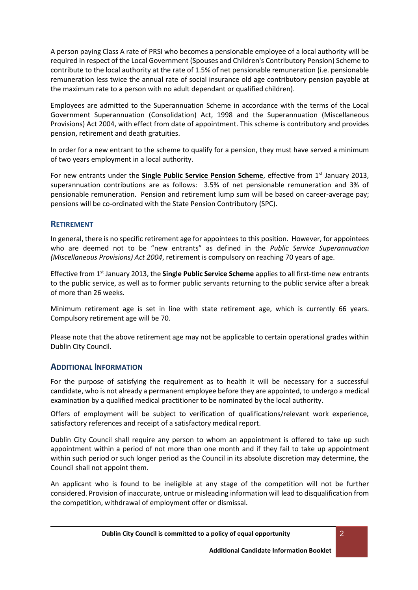A person paying Class A rate of PRSI who becomes a pensionable employee of a local authority will be required in respect of the Local Government (Spouses and Children's Contributory Pension) Scheme to contribute to the local authority at the rate of 1.5% of net pensionable remuneration (i.e. pensionable remuneration less twice the annual rate of social insurance old age contributory pension payable at the maximum rate to a person with no adult dependant or qualified children).

Employees are admitted to the Superannuation Scheme in accordance with the terms of the Local Government Superannuation (Consolidation) Act, 1998 and the Superannuation (Miscellaneous Provisions) Act 2004, with effect from date of appointment. This scheme is contributory and provides pension, retirement and death gratuities.

In order for a new entrant to the scheme to qualify for a pension, they must have served a minimum of two years employment in a local authority.

For new entrants under the **Single Public Service Pension Scheme**, effective from 1<sup>st</sup> January 2013, superannuation contributions are as follows: 3.5% of net pensionable remuneration and 3% of pensionable remuneration. Pension and retirement lump sum will be based on career-average pay; pensions will be co-ordinated with the State Pension Contributory (SPC).

### **RETIREMENT**

In general, there is no specific retirement age for appointees to this position. However, for appointees who are deemed not to be "new entrants" as defined in the *Public Service Superannuation (Miscellaneous Provisions) Act 2004*, retirement is compulsory on reaching 70 years of age.

Effective from 1st January 2013, the **Single Public Service Scheme** applies to all first-time new entrants to the public service, as well as to former public servants returning to the public service after a break of more than 26 weeks.

Minimum retirement age is set in line with state retirement age, which is currently 66 years. Compulsory retirement age will be 70.

Please note that the above retirement age may not be applicable to certain operational grades within Dublin City Council.

#### **ADDITIONAL INFORMATION**

For the purpose of satisfying the requirement as to health it will be necessary for a successful candidate, who is not already a permanent employee before they are appointed, to undergo a medical examination by a qualified medical practitioner to be nominated by the local authority.

Offers of employment will be subject to verification of qualifications/relevant work experience, satisfactory references and receipt of a satisfactory medical report.

Dublin City Council shall require any person to whom an appointment is offered to take up such appointment within a period of not more than one month and if they fail to take up appointment within such period or such longer period as the Council in its absolute discretion may determine, the Council shall not appoint them.

An applicant who is found to be ineligible at any stage of the competition will not be further considered. Provision of inaccurate, untrue or misleading information will lead to disqualification from the competition, withdrawal of employment offer or dismissal.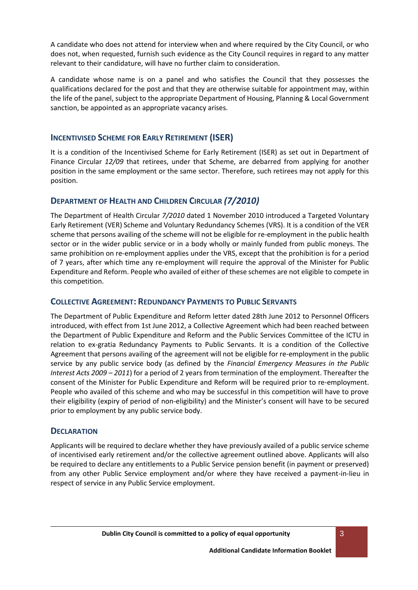A candidate who does not attend for interview when and where required by the City Council, or who does not, when requested, furnish such evidence as the City Council requires in regard to any matter relevant to their candidature, will have no further claim to consideration.

A candidate whose name is on a panel and who satisfies the Council that they possesses the qualifications declared for the post and that they are otherwise suitable for appointment may, within the life of the panel, subject to the appropriate Department of Housing, Planning & Local Government sanction, be appointed as an appropriate vacancy arises.

### **INCENTIVISED SCHEME FOR EARLY RETIREMENT (ISER)**

It is a condition of the Incentivised Scheme for Early Retirement (ISER) as set out in Department of Finance Circular *12/09* that retirees, under that Scheme, are debarred from applying for another position in the same employment or the same sector. Therefore, such retirees may not apply for this position.

### **DEPARTMENT OF HEALTH AND CHILDREN CIRCULAR** *(7/2010)*

The Department of Health Circular *7/2010* dated 1 November 2010 introduced a Targeted Voluntary Early Retirement (VER) Scheme and Voluntary Redundancy Schemes (VRS). It is a condition of the VER scheme that persons availing of the scheme will not be eligible for re-employment in the public health sector or in the wider public service or in a body wholly or mainly funded from public moneys. The same prohibition on re-employment applies under the VRS, except that the prohibition is for a period of 7 years, after which time any re-employment will require the approval of the Minister for Public Expenditure and Reform. People who availed of either of these schemes are not eligible to compete in this competition.

# **COLLECTIVE AGREEMENT: REDUNDANCY PAYMENTS TO PUBLIC SERVANTS**

The Department of Public Expenditure and Reform letter dated 28th June 2012 to Personnel Officers introduced, with effect from 1st June 2012, a Collective Agreement which had been reached between the Department of Public Expenditure and Reform and the Public Services Committee of the ICTU in relation to ex-gratia Redundancy Payments to Public Servants. It is a condition of the Collective Agreement that persons availing of the agreement will not be eligible for re-employment in the public service by any public service body (as defined by the *Financial Emergency Measures in the Public Interest Acts 2009 – 2011*) for a period of 2 years from termination of the employment. Thereafter the consent of the Minister for Public Expenditure and Reform will be required prior to re-employment. People who availed of this scheme and who may be successful in this competition will have to prove their eligibility (expiry of period of non-eligibility) and the Minister's consent will have to be secured prior to employment by any public service body.

### **DECLARATION**

Applicants will be required to declare whether they have previously availed of a public service scheme of incentivised early retirement and/or the collective agreement outlined above. Applicants will also be required to declare any entitlements to a Public Service pension benefit (in payment or preserved) from any other Public Service employment and/or where they have received a payment-in-lieu in respect of service in any Public Service employment.